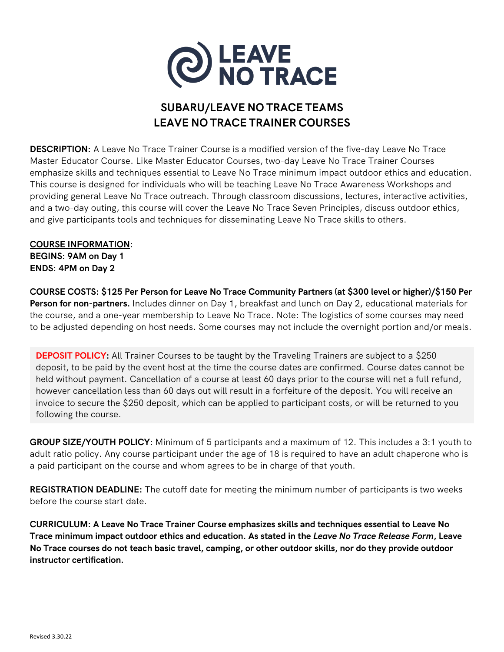

## **SUBARU/LEAVE NO TRACE TEAMS LEAVE NO TRACE TRAINER COURSES**

**DESCRIPTION:** A Leave No Trace Trainer Course is a modified version of the five-day Leave No Trace Master Educator Course. Like Master Educator Courses, two-day Leave No Trace Trainer Courses emphasize skills and techniques essential to Leave No Trace minimum impact outdoor ethics and education. This course is designed for individuals who will be teaching Leave No Trace Awareness Workshops and providing general Leave No Trace outreach. Through classroom discussions, lectures, interactive activities, and a two-day outing, this course will cover the Leave No Trace Seven Principles, discuss outdoor ethics, and give participants tools and techniques for disseminating Leave No Trace skills to others.

## **COURSE INFORMATION:**

**BEGINS: 9AM on Day 1 ENDS: 4PM on Day 2**

**COURSE COSTS: \$125 Per Person for Leave No Trace Community Partners (at \$300 level or higher)/\$150 Per Person for non-partners.** Includes dinner on Day 1, breakfast and lunch on Day 2, educational materials for the course, and a one-year membership to Leave No Trace. Note: The logistics of some courses may need to be adjusted depending on host needs. Some courses may not include the overnight portion and/or meals.

**DEPOSIT POLICY:** All Trainer Courses to be taught by the Traveling Trainers are subject to a \$250 deposit, to be paid by the event host at the time the course dates are confirmed. Course dates cannot be held without payment. Cancellation of a course at least 60 days prior to the course will net a full refund, however cancellation less than 60 days out will result in a forfeiture of the deposit. You will receive an invoice to secure the \$250 deposit, which can be applied to participant costs, or will be returned to you following the course.

**GROUP SIZE/YOUTH POLICY:** Minimum of 5 participants and a maximum of 12. This includes a 3:1 youth to adult ratio policy. Any course participant under the age of 18 is required to have an adult chaperone who is a paid participant on the course and whom agrees to be in charge of that youth.

**REGISTRATION DEADLINE:** The cutoff date for meeting the minimum number of participants is two weeks before the course start date.

**CURRICULUM: A Leave No Trace Trainer Course emphasizes skills and techniques essential to Leave No Trace minimum impact outdoor ethics and education. As stated in the** *Leave No Trace Release Form***, Leave No Trace courses do not teach basic travel, camping, or other outdoor skills, nor do they provide outdoor instructor certification.**